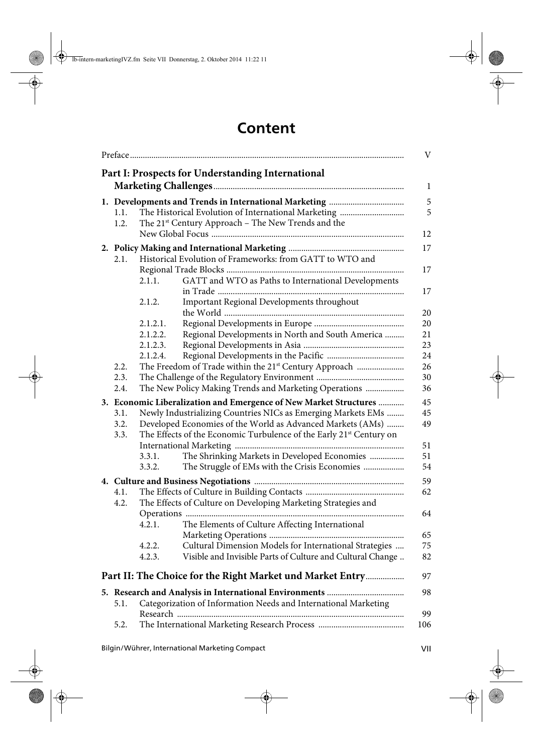## **Content**

|                                                                   |                                                                     |                                                                   | V            |  |  |  |
|-------------------------------------------------------------------|---------------------------------------------------------------------|-------------------------------------------------------------------|--------------|--|--|--|
|                                                                   |                                                                     | Part I: Prospects for Understanding International                 |              |  |  |  |
|                                                                   |                                                                     |                                                                   | $\mathbf{1}$ |  |  |  |
|                                                                   |                                                                     |                                                                   |              |  |  |  |
| 1.1.                                                              |                                                                     |                                                                   | 5            |  |  |  |
| 1.2.                                                              |                                                                     | The 21 <sup>st</sup> Century Approach - The New Trends and the    |              |  |  |  |
|                                                                   |                                                                     |                                                                   | 12<br>17     |  |  |  |
|                                                                   |                                                                     |                                                                   |              |  |  |  |
| 2.1.                                                              |                                                                     | Historical Evolution of Frameworks: from GATT to WTO and          |              |  |  |  |
|                                                                   | 2.1.1.                                                              | GATT and WTO as Paths to International Developments               | 17           |  |  |  |
|                                                                   |                                                                     |                                                                   | 17           |  |  |  |
|                                                                   | 2.1.2.                                                              | Important Regional Developments throughout                        |              |  |  |  |
|                                                                   |                                                                     |                                                                   | 20           |  |  |  |
|                                                                   | 2.1.2.1.                                                            |                                                                   | 20           |  |  |  |
|                                                                   | 2.1.2.2.                                                            | Regional Developments in North and South America                  | 21           |  |  |  |
|                                                                   | 2.1.2.3.                                                            |                                                                   | 23           |  |  |  |
|                                                                   | 2.1.2.4.                                                            |                                                                   | 24           |  |  |  |
| 2.2.<br>2.3.                                                      |                                                                     | The Freedom of Trade within the 21 <sup>st</sup> Century Approach | 26<br>30     |  |  |  |
| 2.4.                                                              |                                                                     | The New Policy Making Trends and Marketing Operations             | 36           |  |  |  |
| 3. Economic Liberalization and Emergence of New Market Structures |                                                                     |                                                                   |              |  |  |  |
| 3.1.                                                              |                                                                     | Newly Industrializing Countries NICs as Emerging Markets EMs      | 45<br>45     |  |  |  |
| 3.2.                                                              |                                                                     | Developed Economies of the World as Advanced Markets (AMs)        | 49           |  |  |  |
| 3.3.                                                              | The Effects of the Economic Turbulence of the Early 21st Century on |                                                                   |              |  |  |  |
|                                                                   |                                                                     |                                                                   | 51           |  |  |  |
|                                                                   | 3.3.1.                                                              | The Shrinking Markets in Developed Economies                      | 51           |  |  |  |
|                                                                   | 3.3.2.                                                              | The Struggle of EMs with the Crisis Economies                     | 54<br>59     |  |  |  |
|                                                                   |                                                                     |                                                                   |              |  |  |  |
| 4.1.                                                              |                                                                     |                                                                   | 62           |  |  |  |
| 4.2.                                                              |                                                                     | The Effects of Culture on Developing Marketing Strategies and     | 64           |  |  |  |
|                                                                   | 4.2.1.                                                              | The Elements of Culture Affecting International                   |              |  |  |  |
|                                                                   |                                                                     |                                                                   | 65           |  |  |  |
|                                                                   | 4.2.2.                                                              | Cultural Dimension Models for International Strategies            | 75           |  |  |  |
|                                                                   | 4.2.3.                                                              | Visible and Invisible Parts of Culture and Cultural Change        | 82           |  |  |  |
|                                                                   |                                                                     |                                                                   |              |  |  |  |
|                                                                   |                                                                     | Part II: The Choice for the Right Market und Market Entry         | 97           |  |  |  |
|                                                                   |                                                                     |                                                                   | 98           |  |  |  |
|                                                                   |                                                                     |                                                                   |              |  |  |  |
| 5.1.                                                              |                                                                     | Categorization of Information Needs and International Marketing   |              |  |  |  |
| 5.2.                                                              |                                                                     |                                                                   | 99<br>106    |  |  |  |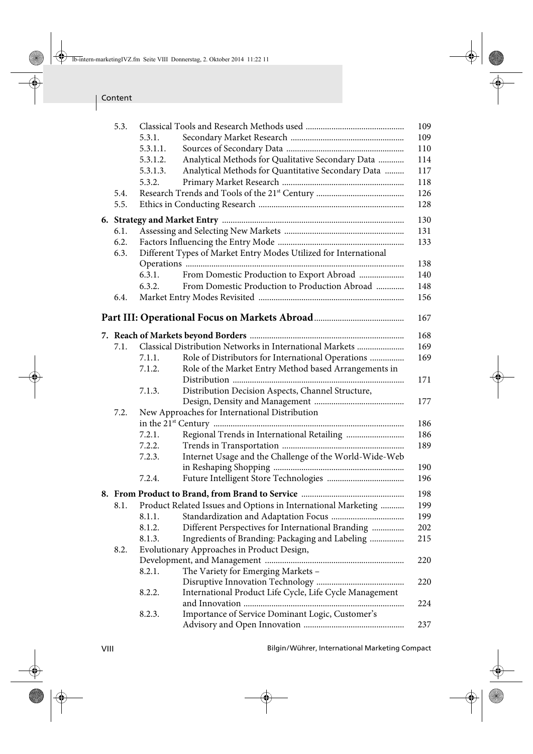| 5.3. |                                               |                                                                  | 109 |  |  |  |
|------|-----------------------------------------------|------------------------------------------------------------------|-----|--|--|--|
|      | 5.3.1.                                        |                                                                  | 109 |  |  |  |
|      | 5.3.1.1.                                      |                                                                  | 110 |  |  |  |
|      | 5.3.1.2.                                      | Analytical Methods for Qualitative Secondary Data                | 114 |  |  |  |
|      | 5.3.1.3.                                      | Analytical Methods for Quantitative Secondary Data               | 117 |  |  |  |
|      | 5.3.2.                                        |                                                                  | 118 |  |  |  |
| 5.4. |                                               |                                                                  | 126 |  |  |  |
| 5.5. |                                               |                                                                  | 128 |  |  |  |
|      | 130                                           |                                                                  |     |  |  |  |
| 6.1. |                                               |                                                                  | 131 |  |  |  |
| 6.2. |                                               |                                                                  | 133 |  |  |  |
| 6.3. |                                               | Different Types of Market Entry Modes Utilized for International |     |  |  |  |
|      |                                               |                                                                  | 138 |  |  |  |
|      | 6.3.1.                                        | From Domestic Production to Export Abroad                        | 140 |  |  |  |
|      | 6.3.2.                                        | From Domestic Production to Production Abroad                    | 148 |  |  |  |
| 6.4. |                                               |                                                                  | 156 |  |  |  |
|      |                                               |                                                                  | 167 |  |  |  |
|      |                                               |                                                                  |     |  |  |  |
|      |                                               |                                                                  | 168 |  |  |  |
| 7.1. |                                               | Classical Distribution Networks in International Markets         | 169 |  |  |  |
|      | 7.1.1.                                        | Role of Distributors for International Operations                | 169 |  |  |  |
|      | 7.1.2.                                        | Role of the Market Entry Method based Arrangements in            |     |  |  |  |
|      |                                               |                                                                  | 171 |  |  |  |
|      | 7.1.3.                                        | Distribution Decision Aspects, Channel Structure,                |     |  |  |  |
|      |                                               |                                                                  | 177 |  |  |  |
| 7.2. | New Approaches for International Distribution |                                                                  |     |  |  |  |
|      |                                               |                                                                  | 186 |  |  |  |
|      | 7.2.1.                                        |                                                                  | 186 |  |  |  |
|      | 7.2.2.                                        |                                                                  | 189 |  |  |  |
|      | 7.2.3.                                        | Internet Usage and the Challenge of the World-Wide-Web           |     |  |  |  |
|      |                                               |                                                                  | 190 |  |  |  |
|      | 7.2.4.                                        |                                                                  | 196 |  |  |  |
|      |                                               |                                                                  | 198 |  |  |  |
| 8.1. |                                               | Product Related Issues and Options in International Marketing    | 199 |  |  |  |
|      | 8.1.1.                                        |                                                                  | 199 |  |  |  |
|      | 8.1.2.                                        | Different Perspectives for International Branding                | 202 |  |  |  |
|      | 8.1.3.                                        | Ingredients of Branding: Packaging and Labeling                  | 215 |  |  |  |
| 8.2. |                                               | Evolutionary Approaches in Product Design,                       |     |  |  |  |
|      |                                               |                                                                  | 220 |  |  |  |
|      | 8.2.1.                                        | The Variety for Emerging Markets -                               |     |  |  |  |
|      |                                               |                                                                  | 220 |  |  |  |
|      | 8.2.2.                                        | International Product Life Cycle, Life Cycle Management          |     |  |  |  |
|      |                                               |                                                                  | 224 |  |  |  |
|      | 8.2.3.                                        | Importance of Service Dominant Logic, Customer's                 |     |  |  |  |
|      |                                               |                                                                  | 237 |  |  |  |